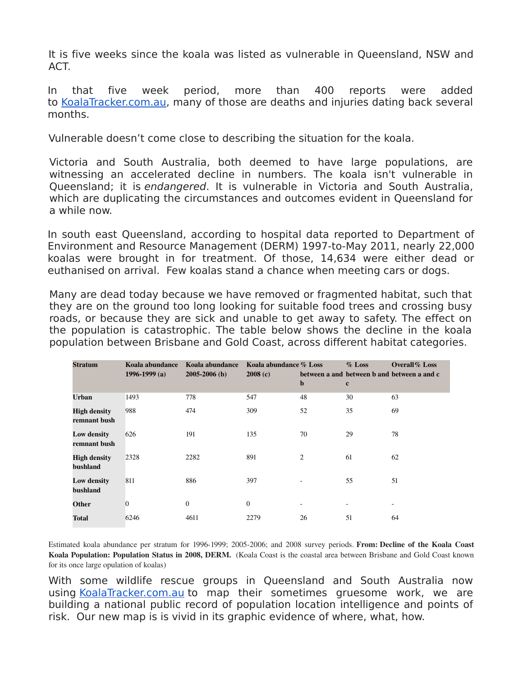It is five weeks since the koala was listed as vulnerable in Queensland, NSW and ACT.

In that five week period, more than 400 reports were added to [KoalaTracker.com.au,](http://koalatracker.com.au/) many of those are deaths and injuries dating back several months.

Vulnerable doesn't come close to describing the situation for the koala.

Victoria and South Australia, both deemed to have large populations, are witnessing an accelerated decline in numbers. The koala isn't vulnerable in Queensland; it is endangered. It is vulnerable in Victoria and South Australia, which are duplicating the circumstances and outcomes evident in Queensland for a while now.

In south east Queensland, according to hospital data reported to Department of Environment and Resource Management (DERM) 1997-to-May 2011, nearly 22,000 koalas were brought in for treatment. Of those, 14,634 were either dead or euthanised on arrival. Few koalas stand a chance when meeting cars or dogs.

Many are dead today because we have removed or fragmented habitat, such that they are on the ground too long looking for suitable food trees and crossing busy roads, or because they are sick and unable to get away to safety. The effect on the population is catastrophic. The table below shows the decline in the koala population between Brisbane and Gold Coast, across different habitat categories.

| <b>Stratum</b>                      | Koala abundance<br>1996-1999 (a) | Koala abundance<br>$2005 - 2006$ (b) | Koala abundance % Loss<br>2008(c) | $\mathbf b$ | $\%$ Loss<br>$\mathbf c$ | <b>Overall</b> % Loss<br>between a and between b and between a and c |
|-------------------------------------|----------------------------------|--------------------------------------|-----------------------------------|-------------|--------------------------|----------------------------------------------------------------------|
| <b>Urban</b>                        | 1493                             | 778                                  | 547                               | 48          | 30                       | 63                                                                   |
| <b>High density</b><br>remnant bush | 988                              | 474                                  | 309                               | 52          | 35                       | 69                                                                   |
| Low density<br>remnant bush         | 626                              | 191                                  | 135                               | 70          | 29                       | 78                                                                   |
| <b>High density</b><br>bushland     | 2328                             | 2282                                 | 891                               | 2           | 61                       | 62                                                                   |
| <b>Low density</b><br>bushland      | 811                              | 886                                  | 397                               |             | 55                       | 51                                                                   |
| Other                               | $\mathbf{0}$                     | $\theta$                             | $\boldsymbol{0}$                  | ٠           |                          |                                                                      |
| <b>Total</b>                        | 6246                             | 4611                                 | 2279                              | 26          | 51                       | 64                                                                   |

Estimated koala abundance per stratum for 1996-1999; 2005-2006; and 2008 survey periods. From: Decline of the Koala Coast Koala Population: Population Status in 2008, DERM. (Koala Coast is the coastal area between Brisbane and Gold Coast known for its once large opulation of koalas)

With some wildlife rescue groups in Queensland and South Australia now using [KoalaTracker.com.au](http://koalatracker.com.au/) to map their sometimes gruesome work, we are building a national public record of population location intelligence and points of risk. Our new map is is vivid in its graphic evidence of where, what, how.